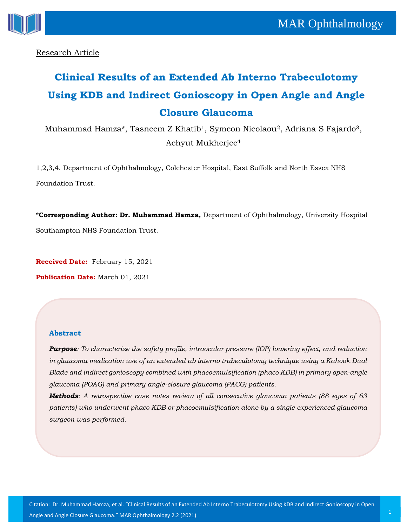

Research Article

# **Clinical Results of an Extended Ab Interno Trabeculotomy Using KDB and Indirect Gonioscopy in Open Angle and Angle Closure Glaucoma**

Muhammad Hamza\*, Tasneem Z Khatib<sup>1</sup>, Symeon Nicolaou<sup>2</sup>, Adriana S Fajardo<sup>3</sup>, Achyut Mukherjee<sup>4</sup>

1,2,3,4. Department of Ophthalmology, Colchester Hospital, East Suffolk and North Essex NHS Foundation Trust.

\***Corresponding Author: Dr. Muhammad Hamza,** Department of Ophthalmology, University Hospital Southampton NHS Foundation Trust.

**Received Date:** February 15, 2021

**Publication Date:** March 01, 2021

## **Abstract**

*Purpose: To characterize the safety profile, intraocular pressure (IOP) lowering effect, and reduction in glaucoma medication use of an extended ab interno trabeculotomy technique using a Kahook Dual Blade and indirect gonioscopy combined with phacoemulsification (phaco KDB) in primary open-angle glaucoma (POAG) and primary angle-closure glaucoma (PACG) patients.*

*Methods: A retrospective case notes review of all consecutive glaucoma patients (88 eyes of 63 patients) who underwent phaco KDB or phacoemulsification alone by a single experienced glaucoma surgeon was performed.*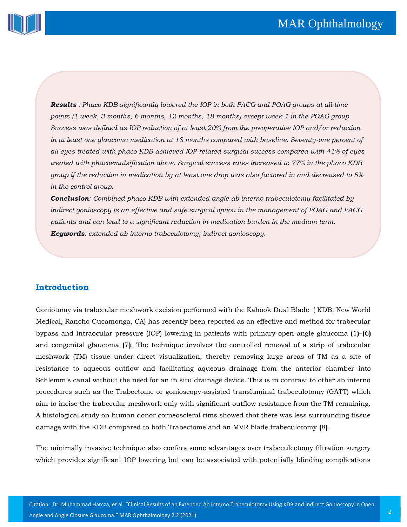

*Results : Phaco KDB significantly lowered the IOP in both PACG and POAG groups at all time points (1 week, 3 months, 6 months, 12 months, 18 months) except week 1 in the POAG group. Success was defined as IOP reduction of at least 20% from the preoperative IOP and/or reduction in at least one glaucoma medication at 18 months compared with baseline. Seventy-one percent of all eyes treated with phaco KDB achieved IOP-related surgical success compared with 41% of eyes treated with phacoemulsification alone. Surgical success rates increased to 77% in the phaco KDB group if the reduction in medication by at least one drop was also factored in and decreased to 5% in the control group.*

*Conclusion: Combined phaco KDB with extended angle ab interno trabeculotomy facilitated by indirect gonioscopy is an effective and safe surgical option in the management of POAG and PACG patients and can lead to a significant reduction in medication burden in the medium term. Keywords: extended ab interno trabeculotomy; indirect gonioscopy.*

# **Introduction**

Goniotomy via trabecular meshwork excision performed with the Kahook Dual Blade ( KDB, New World Medical, Rancho Cucamonga, CA) has recently been reported as an effective and method for trabecular bypass and intraocular pressure (IOP) lowering in patients with primary open-angle glaucoma **(**1**)**–**(**6**)** and congenital glaucoma **(**7**)**. The technique involves the controlled removal of a strip of trabecular meshwork (TM) tissue under direct visualization, thereby removing large areas of TM as a site of resistance to aqueous outflow and facilitating aqueous drainage from the anterior chamber into Schlemm's canal without the need for an in situ drainage device. This is in contrast to other ab interno procedures such as the Trabectome or gonioscopy-assisted transluminal trabeculotomy (GATT) which aim to incise the trabecular meshwork only with significant outflow resistance from the TM remaining. A histological study on human donor corneoscleral rims showed that there was less surrounding tissue damage with the KDB compared to both Trabectome and an MVR blade trabeculotomy **(**8**)**.

The minimally invasive technique also confers some advantages over trabeculectomy filtration surgery which provides significant IOP lowering but can be associated with potentially blinding complications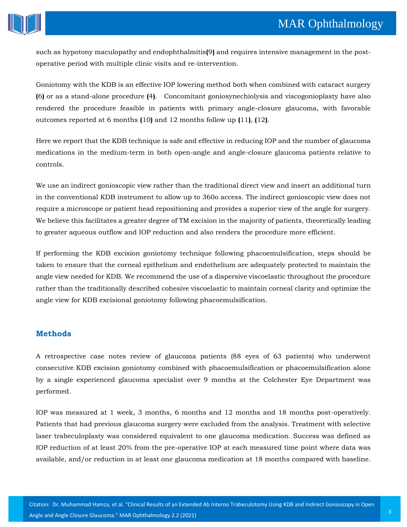

such as hypotony maculopathy and endophthalmitis**(**9**)** and requires intensive management in the postoperative period with multiple clinic visits and re-intervention.

Goniotomy with the KDB is an effective IOP lowering method both when combined with cataract surgery **(**6**)** or as a stand-alone procedure **(**4**)**. Concomitant goniosynechiolysis and viscogonioplasty have also rendered the procedure feasible in patients with primary angle-closure glaucoma, with favorable outcomes reported at 6 months **(**10**)** and 12 months follow up **(**11**)**, **(**12**)**.

Here we report that the KDB technique is safe and effective in reducing IOP and the number of glaucoma medications in the medium-term in both open-angle and angle-closure glaucoma patients relative to controls.

We use an indirect gonioscopic view rather than the traditional direct view and insert an additional turn in the conventional KDB instrument to allow up to 360o access. The indirect gonioscopic view does not require a microscope or patient head repositioning and provides a superior view of the angle for surgery. We believe this facilitates a greater degree of TM excision in the majority of patients, theoretically leading to greater aqueous outflow and IOP reduction and also renders the procedure more efficient.

If performing the KDB excision goniotomy technique following phacoemulsification, steps should be taken to ensure that the corneal epithelium and endothelium are adequately protected to maintain the angle view needed for KDB. We recommend the use of a dispersive viscoelastic throughout the procedure rather than the traditionally described cohesive viscoelastic to maintain corneal clarity and optimize the angle view for KDB excisional goniotomy following phacoemulsification.

# **Methods**

A retrospective case notes review of glaucoma patients (88 eyes of 63 patients) who underwent consecutive KDB excision goniotomy combined with phacoemulsification or phacoemulsification alone by a single experienced glaucoma specialist over 9 months at the Colchester Eye Department was performed.

IOP was measured at 1 week, 3 months, 6 months and 12 months and 18 months post-operatively. Patients that had previous glaucoma surgery were excluded from the analysis. Treatment with selective laser trabeculoplasty was considered equivalent to one glaucoma medication. Success was defined as IOP reduction of at least 20% from the pre-operative IOP at each measured time point where data was available, and/or reduction in at least one glaucoma medication at 18 months compared with baseline.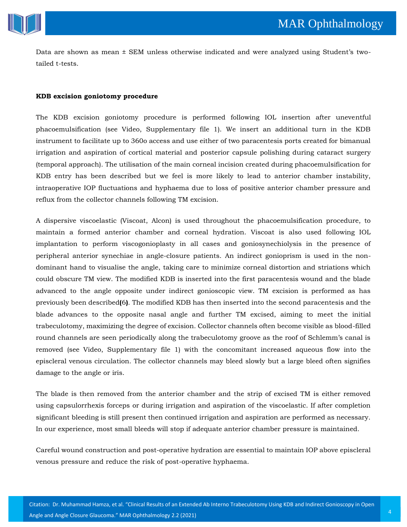

Data are shown as mean ± SEM unless otherwise indicated and were analyzed using Student's twotailed t-tests.

#### **KDB excision goniotomy procedure**

The KDB excision goniotomy procedure is performed following IOL insertion after uneventful phacoemulsification (see Video, Supplementary file 1). We insert an additional turn in the KDB instrument to facilitate up to 360o access and use either of two paracentesis ports created for bimanual irrigation and aspiration of cortical material and posterior capsule polishing during cataract surgery (temporal approach). The utilisation of the main corneal incision created during phacoemulsification for KDB entry has been described but we feel is more likely to lead to anterior chamber instability, intraoperative IOP fluctuations and hyphaema due to loss of positive anterior chamber pressure and reflux from the collector channels following TM excision.

A dispersive viscoelastic (Viscoat, Alcon) is used throughout the phacoemulsification procedure, to maintain a formed anterior chamber and corneal hydration. Viscoat is also used following IOL implantation to perform viscogonioplasty in all cases and goniosynechiolysis in the presence of peripheral anterior synechiae in angle-closure patients. An indirect gonioprism is used in the nondominant hand to visualise the angle, taking care to minimize corneal distortion and striations which could obscure TM view. The modified KDB is inserted into the first paracentesis wound and the blade advanced to the angle opposite under indirect gonioscopic view. TM excision is performed as has previously been described**(**6**)**. The modified KDB has then inserted into the second paracentesis and the blade advances to the opposite nasal angle and further TM excised, aiming to meet the initial trabeculotomy, maximizing the degree of excision. Collector channels often become visible as blood-filled round channels are seen periodically along the trabeculotomy groove as the roof of Schlemm's canal is removed (see Video, Supplementary file 1) with the concomitant increased aqueous flow into the episcleral venous circulation. The collector channels may bleed slowly but a large bleed often signifies damage to the angle or iris.

The blade is then removed from the anterior chamber and the strip of excised TM is either removed using capsulorrhexis forceps or during irrigation and aspiration of the viscoelastic. If after completion significant bleeding is still present then continued irrigation and aspiration are performed as necessary. In our experience, most small bleeds will stop if adequate anterior chamber pressure is maintained.

Careful wound construction and post-operative hydration are essential to maintain IOP above episcleral venous pressure and reduce the risk of post-operative hyphaema.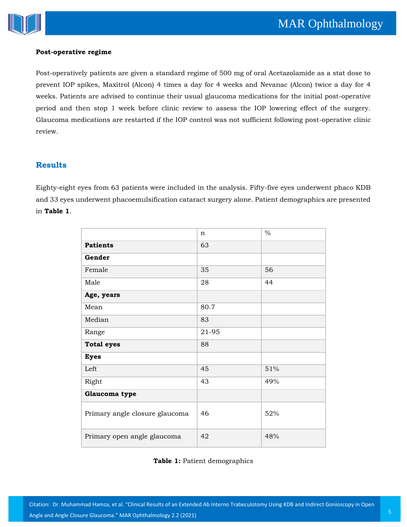

#### **Post-operative regime**

Post-operatively patients are given a standard regime of 500 mg of oral Acetazolamide as a stat dose to prevent IOP spikes, Maxitrol (Alcon) 4 times a day for 4 weeks and Nevanac (Alcon) twice a day for 4 weeks. Patients are advised to continue their usual glaucoma medications for the initial post-operative period and then stop 1 week before clinic review to assess the IOP lowering effect of the surgery. Glaucoma medications are restarted if the IOP control was not sufficient following post-operative clinic review.

# **Results**

Eighty-eight eyes from 63 patients were included in the analysis. Fifty-five eyes underwent phaco KDB and 33 eyes underwent phacoemulsification cataract surgery alone. Patient demographics are presented in **Table 1**.

|                                | n     | $\frac{0}{0}$ |
|--------------------------------|-------|---------------|
| <b>Patients</b>                | 63    |               |
| Gender                         |       |               |
| Female                         | 35    | 56            |
| Male                           | 28    | 44            |
| Age, years                     |       |               |
| Mean                           | 80.7  |               |
| Median                         | 83    |               |
| Range                          | 21-95 |               |
| <b>Total eyes</b>              | 88    |               |
| <b>Eyes</b>                    |       |               |
| Left                           | 45    | 51%           |
| Right                          | 43    | 49%           |
| Glaucoma type                  |       |               |
| Primary angle closure glaucoma | 46    | 52%           |
| Primary open angle glaucoma    | 42    | 48%           |

## **Table 1:** Patient demographics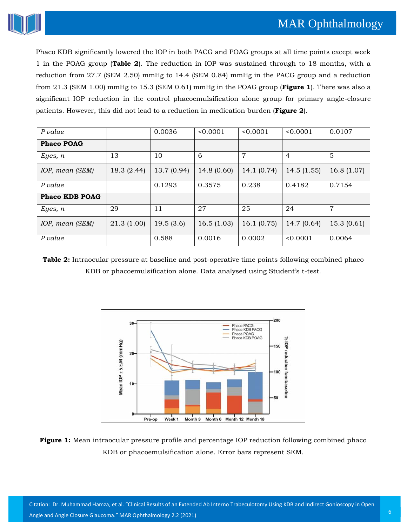

Phaco KDB significantly lowered the IOP in both PACG and POAG groups at all time points except week 1 in the POAG group (**Table 2**). The reduction in IOP was sustained through to 18 months, with a reduction from 27.7 (SEM 2.50) mmHg to 14.4 (SEM 0.84) mmHg in the PACG group and a reduction from 21.3 (SEM 1.00) mmHg to 15.3 (SEM 0.61) mmHg in the POAG group (**Figure 1**). There was also a significant IOP reduction in the control phacoemulsification alone group for primary angle-closure patients. However, this did not lead to a reduction in medication burden (**Figure 2**).

| P value               |            | 0.0036      | < 0.0001    | < 0.0001       | < 0.0001       | 0.0107     |
|-----------------------|------------|-------------|-------------|----------------|----------------|------------|
| <b>Phaco POAG</b>     |            |             |             |                |                |            |
| Eyes, $n$             | 13         | 10          | 6           | $\overline{7}$ | $\overline{4}$ | 5          |
| IOP, mean (SEM)       | 18.3(2.44) | 13.7 (0.94) | 14.8 (0.60) | 14.1(0.74)     | 14.5(1.55)     | 16.8(1.07) |
| P value               |            | 0.1293      | 0.3575      | 0.238          | 0.4182         | 0.7154     |
| <b>Phaco KDB POAG</b> |            |             |             |                |                |            |
| Eyes, $n$             | 29         | 11          | 27          | 25             | 24             | 7          |
| IOP, mean (SEM)       | 21.3(1.00) | 19.5(3.6)   | 16.5(1.03)  | 16.1(0.75)     | 14.7 (0.64)    | 15.3(0.61) |
| P value               |            | 0.588       | 0.0016      | 0.0002         | < 0.0001       | 0.0064     |

**Table 2:** Intraocular pressure at baseline and post-operative time points following combined phaco KDB or phacoemulsification alone. Data analysed using Student's t-test.



**Figure 1:** Mean intraocular pressure profile and percentage IOP reduction following combined phaco KDB or phacoemulsification alone. Error bars represent SEM.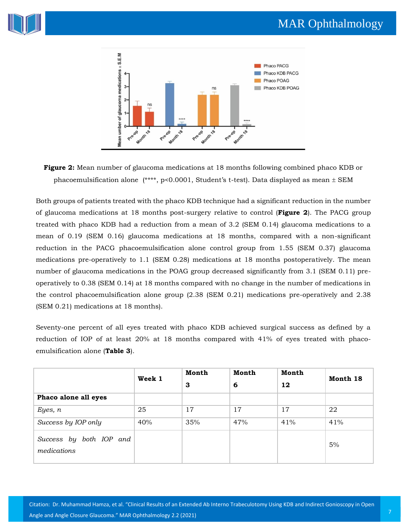





Both groups of patients treated with the phaco KDB technique had a significant reduction in the number of glaucoma medications at 18 months post-surgery relative to control (**Figure 2**). The PACG group treated with phaco KDB had a reduction from a mean of 3.2 (SEM 0.14) glaucoma medications to a mean of 0.19 (SEM 0.16) glaucoma medications at 18 months, compared with a non-significant reduction in the PACG phacoemulsification alone control group from 1.55 (SEM 0.37) glaucoma medications pre-operatively to 1.1 (SEM 0.28) medications at 18 months postoperatively. The mean number of glaucoma medications in the POAG group decreased significantly from 3.1 (SEM 0.11) preoperatively to 0.38 (SEM 0.14) at 18 months compared with no change in the number of medications in the control phacoemulsification alone group (2.38 (SEM 0.21) medications pre-operatively and 2.38 (SEM 0.21) medications at 18 months).

Seventy-one percent of all eyes treated with phaco KDB achieved surgical success as defined by a reduction of IOP of at least 20% at 18 months compared with 41% of eyes treated with phacoemulsification alone (**Table 3**).

|                                        | Week 1 | Month | Month | Month | Month 18 |
|----------------------------------------|--------|-------|-------|-------|----------|
|                                        |        | 3     | 6     | 12    |          |
| Phaco alone all eyes                   |        |       |       |       |          |
| Eyes, $n$                              | 25     | 17    | 17    | 17    | 22       |
| Success by IOP only                    | 40%    | 35%   | 47%   | 41%   | 41%      |
| Success by both IOP and<br>medications |        |       |       |       | 5%       |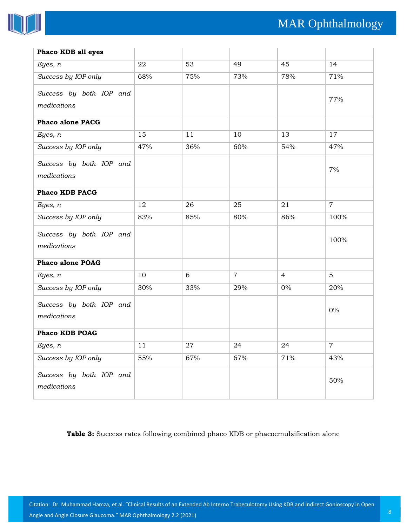

| Phaco KDB all eyes                     |     |             |                |                |                  |
|----------------------------------------|-----|-------------|----------------|----------------|------------------|
| Eyes, n                                | 22  | 53          | 49             | 45             | 14               |
| Success by IOP only                    | 68% | 75%         | 73%            | 78%            | 71%              |
| Success by both IOP and<br>medications |     |             |                |                | 77%              |
| <b>Phaco alone PACG</b>                |     |             |                |                |                  |
| Eyes, n                                | 15  | 11          | 10             | 13             | 17               |
| Success by IOP only                    | 47% | 36%         | 60%            | 54%            | 47%              |
| Success by both IOP and<br>medications |     |             |                |                | 7%               |
| Phaco KDB PACG                         |     |             |                |                |                  |
| Eyes, n                                | 12  | 26          | 25             | 21             | $\overline{7}$   |
| Success by IOP only                    | 83% | 85%         | 80%            | 86%            | 100%             |
| Success by both IOP and<br>medications |     |             |                |                | 100%             |
| <b>Phaco alone POAG</b>                |     |             |                |                |                  |
| Eyes, n                                | 10  | 6           | $\overline{7}$ | $\overline{4}$ | 5                |
| Success by IOP only                    | 30% | 33%         | 29%            | $0\%$          | 20%              |
| Success by both IOP and<br>medications |     |             |                |                | $0\%$            |
| <b>Phaco KDB POAG</b>                  |     |             |                |                |                  |
| Eyes, n                                | 11  | $\sqrt{27}$ | 24             | 24             | $\boldsymbol{7}$ |
| Success by IOP only                    | 55% | 67%         | 67%            | 71%            | 43%              |
| Success by both IOP and<br>medications |     |             |                |                | 50%              |

**Table 3:** Success rates following combined phaco KDB or phacoemulsification alone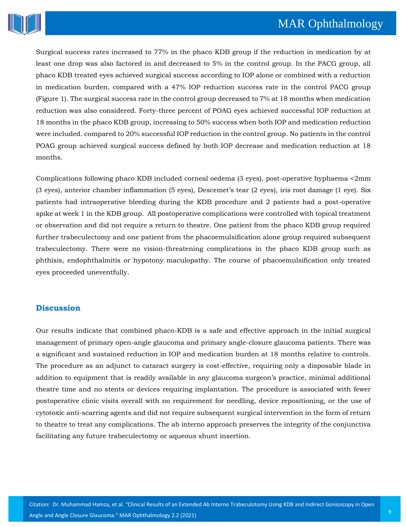

Surgical success rates increased to 77% in the phaco KDB group if the reduction in medication by at least one drop was also factored in and decreased to 5% in the control group. In the PACG group, all phaco KDB treated eyes achieved surgical success according to IOP alone or combined with a reduction in medication burden, compared with a 47% IOP reduction success rate in the control PACG group (Figure 1). The surgical success rate in the control group decreased to 7% at 18 months when medication reduction was also considered. Forty-three percent of POAG eyes achieved successful IOP reduction at 18 months in the phaco KDB group, increasing to 50% success when both IOP and medication reduction were included. compared to 20% successful IOP reduction in the control group. No patients in the control POAG group achieved surgical success defined by both IOP decrease and medication reduction at 18 months.

Complications following phaco KDB included corneal oedema (3 eyes), post-operative hyphaema <2mm (3 eyes), anterior chamber inflammation (5 eyes), Descemet's tear (2 eyes), iris root damage (1 eye). Six patients had intraoperative bleeding during the KDB procedure and 2 patients had a post-operative spike at week 1 in the KDB group. All postoperative complications were controlled with topical treatment or observation and did not require a return to theatre. One patient from the phaco KDB group required further trabeculectomy and one patient from the phacoemulsification alone group required subsequent trabeculectomy. There were no vision-threatening complications in the phaco KDB group such as phthisis, endophthalmitis or hypotony maculopathy. The course of phacoemulsification only treated eyes proceeded uneventfully.

## **Discussion**

Our results indicate that combined phaco-KDB is a safe and effective approach in the initial surgical management of primary open-angle glaucoma and primary angle-closure glaucoma patients. There was a significant and sustained reduction in IOP and medication burden at 18 months relative to controls. The procedure as an adjunct to cataract surgery is cost-effective, requiring only a disposable blade in addition to equipment that is readily available in any glaucoma surgeon's practice, minimal additional theatre time and no stents or devices requiring implantation. The procedure is associated with fewer postoperative clinic visits overall with no requirement for needling, device repositioning, or the use of cytotoxic anti-scarring agents and did not require subsequent surgical intervention in the form of return to theatre to treat any complications. The ab interno approach preserves the integrity of the conjunctiva facilitating any future trabeculectomy or aqueous shunt insertion.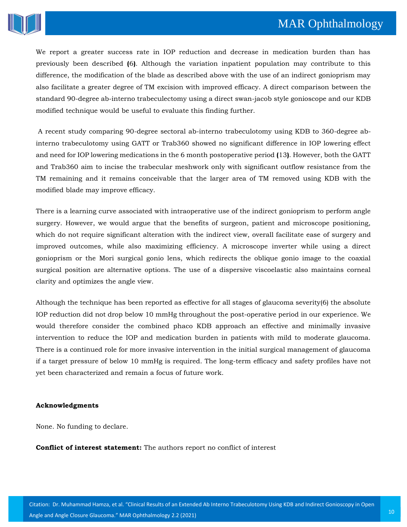

We report a greater success rate in IOP reduction and decrease in medication burden than has previously been described **(**6**)**. Although the variation inpatient population may contribute to this difference, the modification of the blade as described above with the use of an indirect gonioprism may also facilitate a greater degree of TM excision with improved efficacy. A direct comparison between the standard 90-degree ab-interno trabeculectomy using a direct swan-jacob style gonioscope and our KDB modified technique would be useful to evaluate this finding further.

A recent study comparing 90-degree sectoral ab-interno trabeculotomy using KDB to 360-degree abinterno trabeculotomy using GATT or Trab360 showed no significant difference in IOP lowering effect and need for IOP lowering medications in the 6 month postoperative period **(**13**)**. However, both the GATT and Trab360 aim to incise the trabecular meshwork only with significant outflow resistance from the TM remaining and it remains conceivable that the larger area of TM removed using KDB with the modified blade may improve efficacy.

There is a learning curve associated with intraoperative use of the indirect gonioprism to perform angle surgery. However, we would argue that the benefits of surgeon, patient and microscope positioning, which do not require significant alteration with the indirect view, overall facilitate ease of surgery and improved outcomes, while also maximizing efficiency. A microscope inverter while using a direct gonioprism or the Mori surgical gonio lens, which redirects the oblique gonio image to the coaxial surgical position are alternative options. The use of a dispersive viscoelastic also maintains corneal clarity and optimizes the angle view.

Although the technique has been reported as effective for all stages of glaucoma severity(6) the absolute IOP reduction did not drop below 10 mmHg throughout the post-operative period in our experience. We would therefore consider the combined phaco KDB approach an effective and minimally invasive intervention to reduce the IOP and medication burden in patients with mild to moderate glaucoma. There is a continued role for more invasive intervention in the initial surgical management of glaucoma if a target pressure of below 10 mmHg is required. The long-term efficacy and safety profiles have not yet been characterized and remain a focus of future work.

#### **Acknowledgments**

None. No funding to declare.

**Conflict of interest statement:** The authors report no conflict of interest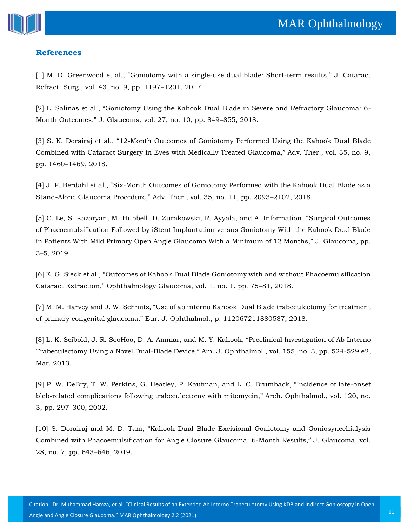

# **References**

[1] M. D. Greenwood et al., "Goniotom[y with a single-use dual blade: Short-](https://www.google.com/search?q=Goniotomy+with+a+single-use+dual+blade%3A+Short-term+results&oq=Goniotomy+with+a+single-use+dual+blade%3A+Short-term+results&aqs=chrome..69i57.3607j0j7&sourceid=chrome&ie=UTF-8)term results," J. Cataract [Refract. Surg., vol. 43, no. 9, pp. 1197](https://www.google.com/search?q=Goniotomy+with+a+single-use+dual+blade%3A+Short-term+results&oq=Goniotomy+with+a+single-use+dual+blade%3A+Short-term+results&aqs=chrome..69i57.3607j0j7&sourceid=chrome&ie=UTF-8)–1201, 2017.

[2] [L. Salinas et al., "Goniotomy Using the Kahook Dual Blade in Severe and Refractory Glaucoma: 6](https://www.google.com/search?sxsrf=ALeKk02a8MQMD5qXmFj40Y8HuH1MF_tUvQ%3A1613642878817&ei=fjwuYIC-MYe-3LUP5tOo2As&q=Goniotomy+Using+the+Kahook+Dual+Blade+in+Severe+and+Refractory+Glaucoma%3A+6-Month+Outcomes&oq=Goniotomy+Using+the+Kahook+Dual+Blade+in+Severe+and+Refractory+Glaucoma%3A+6-Month+Outcomes&gs_lcp=Cgdnd3Mtd2l6EAM6BwgjEOoCECdQrXtYrXtg8nxoAXAAeACAAZQBiAH3AZIBAzEuMZgBAKABAaABAqoBB2d3cy13aXqwAQrAAQE&sclient=gws-wiz&ved=0ahUKEwiA9deUmPPuAhUHH7cAHeYpCrsQ4dUDCA0&uact=5)- [Month Outcomes," J. Glaucoma, vol. 27, no. 10, pp. 849–](https://www.google.com/search?sxsrf=ALeKk02a8MQMD5qXmFj40Y8HuH1MF_tUvQ%3A1613642878817&ei=fjwuYIC-MYe-3LUP5tOo2As&q=Goniotomy+Using+the+Kahook+Dual+Blade+in+Severe+and+Refractory+Glaucoma%3A+6-Month+Outcomes&oq=Goniotomy+Using+the+Kahook+Dual+Blade+in+Severe+and+Refractory+Glaucoma%3A+6-Month+Outcomes&gs_lcp=Cgdnd3Mtd2l6EAM6BwgjEOoCECdQrXtYrXtg8nxoAXAAeACAAZQBiAH3AZIBAzEuMZgBAKABAaABAqoBB2d3cy13aXqwAQrAAQE&sclient=gws-wiz&ved=0ahUKEwiA9deUmPPuAhUHH7cAHeYpCrsQ4dUDCA0&uact=5)855, 2018.

[3] S. K. Dorairaj et al., "12[-Month Outcomes of Goniotomy Performed Using the Kahook Dual Blade](https://www.google.com/search?sxsrf=ALeKk00w1uYdBoXtY99CZjJemAEh5IF1hQ%3A1613642896041&ei=kDwuYOSPApyprtoPnKmwwAc&q=12-Month+Outcomes+of+Goniotomy+Performed+Using+the+Kahook+Dual+Blade+Combined+with+Cataract+Surgery+in+Eyes+with+Medically+Treated+Glaucoma&oq=12-Month+Outcomes+of+Goniotomy+Performed+Using+the+Kahook+Dual+Blade+Combined+with+Cataract+Surgery+in+Eyes+with+Medically+Treated+Glaucoma&gs_lcp=Cgdnd3Mtd2l6EAMyBwgjEOoCECcyBwgjEOoCECcyBwgjEOoCECcyBwgjEOoCECcyBwgjEOoCECcyBwgjEOoCECcyBwgjEOoCECcyBwgjEOoCECcyBwgjEOoCECcyBwgjEOoCECdQnHhYnHhgt3poAXAAeACAAWiIAWiSAQMwLjGYAQCgAQGgAQKqAQdnd3Mtd2l6sAEKwAEB&sclient=gws-wiz&ved=0ahUKEwjkl_OcmPPuAhWclEsFHZwUDHgQ4dUDCA0&uact=5)  [Combined with Cataract Surgery in Eyes with Medically Treated Glaucoma," Adv. Ther., vol. 35, no. 9,](https://www.google.com/search?sxsrf=ALeKk00w1uYdBoXtY99CZjJemAEh5IF1hQ%3A1613642896041&ei=kDwuYOSPApyprtoPnKmwwAc&q=12-Month+Outcomes+of+Goniotomy+Performed+Using+the+Kahook+Dual+Blade+Combined+with+Cataract+Surgery+in+Eyes+with+Medically+Treated+Glaucoma&oq=12-Month+Outcomes+of+Goniotomy+Performed+Using+the+Kahook+Dual+Blade+Combined+with+Cataract+Surgery+in+Eyes+with+Medically+Treated+Glaucoma&gs_lcp=Cgdnd3Mtd2l6EAMyBwgjEOoCECcyBwgjEOoCECcyBwgjEOoCECcyBwgjEOoCECcyBwgjEOoCECcyBwgjEOoCECcyBwgjEOoCECcyBwgjEOoCECcyBwgjEOoCECcyBwgjEOoCECdQnHhYnHhgt3poAXAAeACAAWiIAWiSAQMwLjGYAQCgAQGgAQKqAQdnd3Mtd2l6sAEKwAEB&sclient=gws-wiz&ved=0ahUKEwjkl_OcmPPuAhWclEsFHZwUDHgQ4dUDCA0&uact=5)  pp. 1460–[1469, 2018.](https://www.google.com/search?sxsrf=ALeKk00w1uYdBoXtY99CZjJemAEh5IF1hQ%3A1613642896041&ei=kDwuYOSPApyprtoPnKmwwAc&q=12-Month+Outcomes+of+Goniotomy+Performed+Using+the+Kahook+Dual+Blade+Combined+with+Cataract+Surgery+in+Eyes+with+Medically+Treated+Glaucoma&oq=12-Month+Outcomes+of+Goniotomy+Performed+Using+the+Kahook+Dual+Blade+Combined+with+Cataract+Surgery+in+Eyes+with+Medically+Treated+Glaucoma&gs_lcp=Cgdnd3Mtd2l6EAMyBwgjEOoCECcyBwgjEOoCECcyBwgjEOoCECcyBwgjEOoCECcyBwgjEOoCECcyBwgjEOoCECcyBwgjEOoCECcyBwgjEOoCECcyBwgjEOoCECcyBwgjEOoCECdQnHhYnHhgt3poAXAAeACAAWiIAWiSAQMwLjGYAQCgAQGgAQKqAQdnd3Mtd2l6sAEKwAEB&sclient=gws-wiz&ved=0ahUKEwjkl_OcmPPuAhWclEsFHZwUDHgQ4dUDCA0&uact=5)

[4] J. P. Berdahl et al., "Six[-Month Outcomes of Goniotomy Performed with the Kahook Dual Blade as a](https://www.google.com/search?sxsrf=ALeKk03BvEGTAh2ahbh-iglB_cirk20UzQ%3A1613642912710&ei=oDwuYOjrKsKo9QPfloDYBw&q=Six-Month+Outcomes+of+Goniotomy+Performed+with+the+Kahook+Dual+Blade+as+a+Stand-Alone+Glaucoma+Procedure&oq=Six-Month+Outcomes+of+Goniotomy+Performed+with+the+Kahook+Dual+Blade+as+a+Stand-Alone+Glaucoma+Procedure&gs_lcp=Cgdnd3Mtd2l6EAMyBwgjEOoCECcyBwgjEOoCECcyBwgjEOoCECcyBwgjEOoCECcyBwgjEOoCECcyBwgjEOoCECcyBwgjEOoCECcyBwgjEOoCECcyBwgjEOoCECcyBwgjEOoCECdQlGJYlGJgumRoAXAAeACAAQCIAQCSAQCYAQGgAQGgAQKqAQdnd3Mtd2l6sAEKwAEB&sclient=gws-wiz&ved=0ahUKEwjou-ykmPPuAhVCVH0KHV8LAHsQ4dUDCA0&uact=5)  Stand-[Alone Glaucoma Procedure," Adv. Ther., vol. 35, no. 11, pp. 2093–](https://www.google.com/search?sxsrf=ALeKk03BvEGTAh2ahbh-iglB_cirk20UzQ%3A1613642912710&ei=oDwuYOjrKsKo9QPfloDYBw&q=Six-Month+Outcomes+of+Goniotomy+Performed+with+the+Kahook+Dual+Blade+as+a+Stand-Alone+Glaucoma+Procedure&oq=Six-Month+Outcomes+of+Goniotomy+Performed+with+the+Kahook+Dual+Blade+as+a+Stand-Alone+Glaucoma+Procedure&gs_lcp=Cgdnd3Mtd2l6EAMyBwgjEOoCECcyBwgjEOoCECcyBwgjEOoCECcyBwgjEOoCECcyBwgjEOoCECcyBwgjEOoCECcyBwgjEOoCECcyBwgjEOoCECcyBwgjEOoCECcyBwgjEOoCECdQlGJYlGJgumRoAXAAeACAAQCIAQCSAQCYAQGgAQGgAQKqAQdnd3Mtd2l6sAEKwAEB&sclient=gws-wiz&ved=0ahUKEwjou-ykmPPuAhVCVH0KHV8LAHsQ4dUDCA0&uact=5)2102, 2018.

[5] [C. Le, S. Kazaryan, M. Hubbell, D. Zurakowski, R. Ayyala, and A. Information, "Surgical Outcomes](https://www.google.com/search?sxsrf=ALeKk03I_VKg3G-5Ec2W1XzGLIhDyxTaNw%3A1613642926990&ei=rjwuYKn3O9Xw9QPkkafwCQ&q=Surgical+Outcomes+of+Phacoemulsification+Followed+by+iStent+Implantation+versus+Goniotomy+With+the+Kahook+Dual+Blade+in+Patients+With+Mild+Primary+Open+Angle+Glaucoma+With+a+Minimum+of+12+Months&oq=Surgical+Outcomes+of+Phacoemulsification+Followed+by+iStent+Implantation+versus+Goniotomy+With+the+Kahook+Dual+Blade+in+Patients+With+Mild+Primary+Open+Angle+Glaucoma+With+a+Minimum+of+12+Months&gs_lcp=Cgdnd3Mtd2l6EAMyBwgjEOoCECcyBwgjEOoCECcyBwgjEOoCECcyBwgjEOoCECcyBwgjEOoCECcyBwgjEOoCECcyBwgjEOoCECcyBwgjEOoCECcyBwgjEOoCECcyBwgjEOoCECdQwIgBWMCIAWD0igFoAXAAeACAAQCIAQCSAQCYAQGgAQGgAQKqAQdnd3Mtd2l6sAEKwAEB&sclient=gws-wiz&ved=0ahUKEwiphtSrmPPuAhVVeH0KHeTICZ4Q4dUDCA0&uact=5)  [of Phacoemulsification Followed by iStent Implantation versus Goniotomy With the Kahook Dual Blade](https://www.google.com/search?sxsrf=ALeKk03I_VKg3G-5Ec2W1XzGLIhDyxTaNw%3A1613642926990&ei=rjwuYKn3O9Xw9QPkkafwCQ&q=Surgical+Outcomes+of+Phacoemulsification+Followed+by+iStent+Implantation+versus+Goniotomy+With+the+Kahook+Dual+Blade+in+Patients+With+Mild+Primary+Open+Angle+Glaucoma+With+a+Minimum+of+12+Months&oq=Surgical+Outcomes+of+Phacoemulsification+Followed+by+iStent+Implantation+versus+Goniotomy+With+the+Kahook+Dual+Blade+in+Patients+With+Mild+Primary+Open+Angle+Glaucoma+With+a+Minimum+of+12+Months&gs_lcp=Cgdnd3Mtd2l6EAMyBwgjEOoCECcyBwgjEOoCECcyBwgjEOoCECcyBwgjEOoCECcyBwgjEOoCECcyBwgjEOoCECcyBwgjEOoCECcyBwgjEOoCECcyBwgjEOoCECcyBwgjEOoCECdQwIgBWMCIAWD0igFoAXAAeACAAQCIAQCSAQCYAQGgAQGgAQKqAQdnd3Mtd2l6sAEKwAEB&sclient=gws-wiz&ved=0ahUKEwiphtSrmPPuAhVVeH0KHeTICZ4Q4dUDCA0&uact=5)  in Patients With Mild Prim[ary Open Angle Glaucoma With a Minimum of 12 Months," J. Glaucoma, pp.](https://www.google.com/search?sxsrf=ALeKk03I_VKg3G-5Ec2W1XzGLIhDyxTaNw%3A1613642926990&ei=rjwuYKn3O9Xw9QPkkafwCQ&q=Surgical+Outcomes+of+Phacoemulsification+Followed+by+iStent+Implantation+versus+Goniotomy+With+the+Kahook+Dual+Blade+in+Patients+With+Mild+Primary+Open+Angle+Glaucoma+With+a+Minimum+of+12+Months&oq=Surgical+Outcomes+of+Phacoemulsification+Followed+by+iStent+Implantation+versus+Goniotomy+With+the+Kahook+Dual+Blade+in+Patients+With+Mild+Primary+Open+Angle+Glaucoma+With+a+Minimum+of+12+Months&gs_lcp=Cgdnd3Mtd2l6EAMyBwgjEOoCECcyBwgjEOoCECcyBwgjEOoCECcyBwgjEOoCECcyBwgjEOoCECcyBwgjEOoCECcyBwgjEOoCECcyBwgjEOoCECcyBwgjEOoCECcyBwgjEOoCECdQwIgBWMCIAWD0igFoAXAAeACAAQCIAQCSAQCYAQGgAQGgAQKqAQdnd3Mtd2l6sAEKwAEB&sclient=gws-wiz&ved=0ahUKEwiphtSrmPPuAhVVeH0KHeTICZ4Q4dUDCA0&uact=5)  3–[5, 2019.](https://www.google.com/search?sxsrf=ALeKk03I_VKg3G-5Ec2W1XzGLIhDyxTaNw%3A1613642926990&ei=rjwuYKn3O9Xw9QPkkafwCQ&q=Surgical+Outcomes+of+Phacoemulsification+Followed+by+iStent+Implantation+versus+Goniotomy+With+the+Kahook+Dual+Blade+in+Patients+With+Mild+Primary+Open+Angle+Glaucoma+With+a+Minimum+of+12+Months&oq=Surgical+Outcomes+of+Phacoemulsification+Followed+by+iStent+Implantation+versus+Goniotomy+With+the+Kahook+Dual+Blade+in+Patients+With+Mild+Primary+Open+Angle+Glaucoma+With+a+Minimum+of+12+Months&gs_lcp=Cgdnd3Mtd2l6EAMyBwgjEOoCECcyBwgjEOoCECcyBwgjEOoCECcyBwgjEOoCECcyBwgjEOoCECcyBwgjEOoCECcyBwgjEOoCECcyBwgjEOoCECcyBwgjEOoCECcyBwgjEOoCECdQwIgBWMCIAWD0igFoAXAAeACAAQCIAQCSAQCYAQGgAQGgAQKqAQdnd3Mtd2l6sAEKwAEB&sclient=gws-wiz&ved=0ahUKEwiphtSrmPPuAhVVeH0KHeTICZ4Q4dUDCA0&uact=5)

[6] [E. G. Sieck et al., "Outcomes of Kahook Dual Blade Goniotomy with and without Phacoemulsification](https://www.google.com/search?sxsrf=ALeKk00SXI0nDGfYxE7FjUoWmZ7sBHe_yg%3A1613642945738&ei=wTwuYPy2LJuz9QPomZ-4BQ&q=Outcomes+of+Kahook+Dual+Blade+Goniotomy+with+and+without+Phacoemulsification+Cataract+Extraction&oq=Outcomes+of+Kahook+Dual+Blade+Goniotomy+with+and+without+Phacoemulsification+Cataract+Extraction&gs_lcp=Cgdnd3Mtd2l6EAMyAggAOgcIIxDqAhAnUOpkWOpkYOBmaAFwAHgAgAFgiAFgkgEBMZgBAaABAaABAqoBB2d3cy13aXqwAQrAAQE&sclient=gws-wiz&ved=0ahUKEwi8m8y0mPPuAhWbWX0KHejMB1cQ4dUDCA0&uact=5)  [Cataract Extraction," Ophthalmology Glaucoma, vol. 1, no. 1. pp. 75–](https://www.google.com/search?sxsrf=ALeKk00SXI0nDGfYxE7FjUoWmZ7sBHe_yg%3A1613642945738&ei=wTwuYPy2LJuz9QPomZ-4BQ&q=Outcomes+of+Kahook+Dual+Blade+Goniotomy+with+and+without+Phacoemulsification+Cataract+Extraction&oq=Outcomes+of+Kahook+Dual+Blade+Goniotomy+with+and+without+Phacoemulsification+Cataract+Extraction&gs_lcp=Cgdnd3Mtd2l6EAMyAggAOgcIIxDqAhAnUOpkWOpkYOBmaAFwAHgAgAFgiAFgkgEBMZgBAaABAaABAqoBB2d3cy13aXqwAQrAAQE&sclient=gws-wiz&ved=0ahUKEwi8m8y0mPPuAhWbWX0KHejMB1cQ4dUDCA0&uact=5)81, 2018.

[7] M. M. H[arvey and J. W. Schmitz, "Use of ab interno Kahook Dual Blade trabeculectomy for treatment](https://www.google.com/search?sxsrf=ALeKk006Aqe2Tk_Rz_7NUMbuLlztvbR2OA%3A1613642960091&ei=0DwuYKv0BM22rQHXqaz4Bg&q=Use+of+ab+interno+Kahook+Dual+Blade+trabeculectomy+for+treatment+of+primary+congenital+glaucoma&oq=Use+of+ab+interno+Kahook+Dual+Blade+trabeculectomy+for+treatment+of+primary+congenital+glaucoma&gs_lcp=Cgdnd3Mtd2l6EAM6BwgjEOoCECdQ23JY23Jg83RoAXAAeACAAcwBiAGxApIBBTAuMS4xmAEAoAEBoAECqgEHZ3dzLXdperABCsABAQ&sclient=gws-wiz&ved=0ahUKEwirnLi7mPPuAhVNWysKHdcUC28Q4dUDCA0&uact=5)  [of primary congenital glaucoma," Eur. J. Ophthalmol., p. 112067211880587, 2018.](https://www.google.com/search?sxsrf=ALeKk006Aqe2Tk_Rz_7NUMbuLlztvbR2OA%3A1613642960091&ei=0DwuYKv0BM22rQHXqaz4Bg&q=Use+of+ab+interno+Kahook+Dual+Blade+trabeculectomy+for+treatment+of+primary+congenital+glaucoma&oq=Use+of+ab+interno+Kahook+Dual+Blade+trabeculectomy+for+treatment+of+primary+congenital+glaucoma&gs_lcp=Cgdnd3Mtd2l6EAM6BwgjEOoCECdQ23JY23Jg83RoAXAAeACAAcwBiAGxApIBBTAuMS4xmAEAoAEBoAECqgEHZ3dzLXdperABCsABAQ&sclient=gws-wiz&ved=0ahUKEwirnLi7mPPuAhVNWysKHdcUC28Q4dUDCA0&uact=5)

[8] [L. K. Seibold, J. R. SooHoo, D. A. Ammar, and M. Y. Kahook, "Preclinical Investigation of Ab In](https://www.google.com/search?sxsrf=ALeKk03qdPKJfcQe7lrk8vApgxf4n2EiNA%3A1613642976054&ei=4DwuYID2AoXt9QP87o3YCA&q=Preclinical+Investigation+of+Ab+Interno+Trabeculectomy+Using+a+Novel+Dual-Blade+Device&oq=Preclinical+Investigation+of+Ab+Interno+Trabeculectomy+Using+a+Novel+Dual-Blade+Device&gs_lcp=Cgdnd3Mtd2l6EAMyBAgAEB46BwgjEOoCECdQwY8CWMGPAmD9kQJoAXAAeACAAfoBiAGCA5IBBTAuMS4xmAEAoAEBoAECqgEHZ3dzLXdperABCsABAQ&sclient=gws-wiz&ved=0ahUKEwiA5obDmPPuAhWFdn0KHXx3A4sQ4dUDCA0&uact=5)terno Trabeculectomy Using a Novel Dual-[Blade Device," Am. J. Ophthalmol., vol. 155, no. 3, pp. 524](https://www.google.com/search?sxsrf=ALeKk03qdPKJfcQe7lrk8vApgxf4n2EiNA%3A1613642976054&ei=4DwuYID2AoXt9QP87o3YCA&q=Preclinical+Investigation+of+Ab+Interno+Trabeculectomy+Using+a+Novel+Dual-Blade+Device&oq=Preclinical+Investigation+of+Ab+Interno+Trabeculectomy+Using+a+Novel+Dual-Blade+Device&gs_lcp=Cgdnd3Mtd2l6EAMyBAgAEB46BwgjEOoCECdQwY8CWMGPAmD9kQJoAXAAeACAAfoBiAGCA5IBBTAuMS4xmAEAoAEBoAECqgEHZ3dzLXdperABCsABAQ&sclient=gws-wiz&ved=0ahUKEwiA5obDmPPuAhWFdn0KHXx3A4sQ4dUDCA0&uact=5)-529.e2, [Mar. 2013.](https://www.google.com/search?sxsrf=ALeKk03qdPKJfcQe7lrk8vApgxf4n2EiNA%3A1613642976054&ei=4DwuYID2AoXt9QP87o3YCA&q=Preclinical+Investigation+of+Ab+Interno+Trabeculectomy+Using+a+Novel+Dual-Blade+Device&oq=Preclinical+Investigation+of+Ab+Interno+Trabeculectomy+Using+a+Novel+Dual-Blade+Device&gs_lcp=Cgdnd3Mtd2l6EAMyBAgAEB46BwgjEOoCECdQwY8CWMGPAmD9kQJoAXAAeACAAfoBiAGCA5IBBTAuMS4xmAEAoAEBoAECqgEHZ3dzLXdperABCsABAQ&sclient=gws-wiz&ved=0ahUKEwiA5obDmPPuAhWFdn0KHXx3A4sQ4dUDCA0&uact=5)

[9] [P. W. DeBry, T. W. Perkins, G. Heatley, P. Kaufman, and L. C. Brumback, "Incidence of late](https://www.google.com/search?sxsrf=ALeKk009qMvfoYF5dzMiYSGHWM-Zsljo9A%3A1613643012265&ei=BD0uYLfVD9GCyAPX-LTIBw&q=Incidence+of+late-onset+bleb-related+complications+following+trabeculectomy+with+mitomycin&oq=Incidence+of+late-onset+bleb-related+complications+following+trabeculectomy+with+mitomycin&gs_lcp=Cgdnd3Mtd2l6EAM6BwgjEOoCECdQqaMBWKmjAWDMpQFoAXAAeACAAZICiAH-ApIBBTAuMS4xmAEAoAEBoAECqgEHZ3dzLXdperABCsABAQ&sclient=gws-wiz&ved=0ahUKEwi356jUmPPuAhVRAXIKHVc8DXkQ4dUDCA0&uact=5)-onset bleb-related complications following trabeculectom[y with mitomycin," Arch. Ophthalmol., vol. 120, no.](https://www.google.com/search?sxsrf=ALeKk009qMvfoYF5dzMiYSGHWM-Zsljo9A%3A1613643012265&ei=BD0uYLfVD9GCyAPX-LTIBw&q=Incidence+of+late-onset+bleb-related+complications+following+trabeculectomy+with+mitomycin&oq=Incidence+of+late-onset+bleb-related+complications+following+trabeculectomy+with+mitomycin&gs_lcp=Cgdnd3Mtd2l6EAM6BwgjEOoCECdQqaMBWKmjAWDMpQFoAXAAeACAAZICiAH-ApIBBTAuMS4xmAEAoAEBoAECqgEHZ3dzLXdperABCsABAQ&sclient=gws-wiz&ved=0ahUKEwi356jUmPPuAhVRAXIKHVc8DXkQ4dUDCA0&uact=5)  3, pp. 297–[300, 2002.](https://www.google.com/search?sxsrf=ALeKk009qMvfoYF5dzMiYSGHWM-Zsljo9A%3A1613643012265&ei=BD0uYLfVD9GCyAPX-LTIBw&q=Incidence+of+late-onset+bleb-related+complications+following+trabeculectomy+with+mitomycin&oq=Incidence+of+late-onset+bleb-related+complications+following+trabeculectomy+with+mitomycin&gs_lcp=Cgdnd3Mtd2l6EAM6BwgjEOoCECdQqaMBWKmjAWDMpQFoAXAAeACAAZICiAH-ApIBBTAuMS4xmAEAoAEBoAECqgEHZ3dzLXdperABCsABAQ&sclient=gws-wiz&ved=0ahUKEwi356jUmPPuAhVRAXIKHVc8DXkQ4dUDCA0&uact=5)

[10] [S. Dorairaj and M. D. Tam, "Kahook Dual Blade Excisional Goniotomy and Goniosynechialysis](https://www.google.com/search?sxsrf=ALeKk009i4ifOU4blmGjsNlOtoUE9lU0bw%3A1613643034566&ei=Gj0uYJTmIZfz9QORloDADw&q=Kahook+Dual+Blade+Excisional+Goniotomy+and+Goniosynechialysis+Combined+with+Phacoemulsification+for+Angle+Closure+Glaucoma%3A+6-Month+Results&oq=Kahook+Dual+Blade+Excisional+Goniotomy+and+Goniosynechialysis+Combined+with+Phacoemulsification+for+Angle+Closure+Glaucoma%3A+6-Month+Results&gs_lcp=Cgdnd3Mtd2l6EAMyBwgjEOoCECcyBwgjEOoCECcyBwgjEOoCECcyBwgjEOoCECcyBwgjEOoCECcyBwgjEOoCECcyBwgjEOoCECcyBwgjEOoCECcyBwgjEOoCECcyBwgjEOoCECdQ-XNY-XNglXZoAXAAeACAAbMCiAGzApIBAzMtMZgBAKABAaABAqoBB2d3cy13aXqwAQrAAQE&sclient=gws-wiz&ved=0ahUKEwiU2_nemPPuAhWXeX0KHRELAPgQ4dUDCA0&uact=5)  [Combined with Phacoemulsification for Angle Closure Glaucoma: 6-](https://www.google.com/search?sxsrf=ALeKk009i4ifOU4blmGjsNlOtoUE9lU0bw%3A1613643034566&ei=Gj0uYJTmIZfz9QORloDADw&q=Kahook+Dual+Blade+Excisional+Goniotomy+and+Goniosynechialysis+Combined+with+Phacoemulsification+for+Angle+Closure+Glaucoma%3A+6-Month+Results&oq=Kahook+Dual+Blade+Excisional+Goniotomy+and+Goniosynechialysis+Combined+with+Phacoemulsification+for+Angle+Closure+Glaucoma%3A+6-Month+Results&gs_lcp=Cgdnd3Mtd2l6EAMyBwgjEOoCECcyBwgjEOoCECcyBwgjEOoCECcyBwgjEOoCECcyBwgjEOoCECcyBwgjEOoCECcyBwgjEOoCECcyBwgjEOoCECcyBwgjEOoCECcyBwgjEOoCECdQ-XNY-XNglXZoAXAAeACAAbMCiAGzApIBAzMtMZgBAKABAaABAqoBB2d3cy13aXqwAQrAAQE&sclient=gws-wiz&ved=0ahUKEwiU2_nemPPuAhWXeX0KHRELAPgQ4dUDCA0&uact=5)Month Results," J. Glaucoma, vol. [28, no. 7, pp. 643](https://www.google.com/search?sxsrf=ALeKk009i4ifOU4blmGjsNlOtoUE9lU0bw%3A1613643034566&ei=Gj0uYJTmIZfz9QORloDADw&q=Kahook+Dual+Blade+Excisional+Goniotomy+and+Goniosynechialysis+Combined+with+Phacoemulsification+for+Angle+Closure+Glaucoma%3A+6-Month+Results&oq=Kahook+Dual+Blade+Excisional+Goniotomy+and+Goniosynechialysis+Combined+with+Phacoemulsification+for+Angle+Closure+Glaucoma%3A+6-Month+Results&gs_lcp=Cgdnd3Mtd2l6EAMyBwgjEOoCECcyBwgjEOoCECcyBwgjEOoCECcyBwgjEOoCECcyBwgjEOoCECcyBwgjEOoCECcyBwgjEOoCECcyBwgjEOoCECcyBwgjEOoCECcyBwgjEOoCECdQ-XNY-XNglXZoAXAAeACAAbMCiAGzApIBAzMtMZgBAKABAaABAqoBB2d3cy13aXqwAQrAAQE&sclient=gws-wiz&ved=0ahUKEwiU2_nemPPuAhWXeX0KHRELAPgQ4dUDCA0&uact=5)–646, 2019.